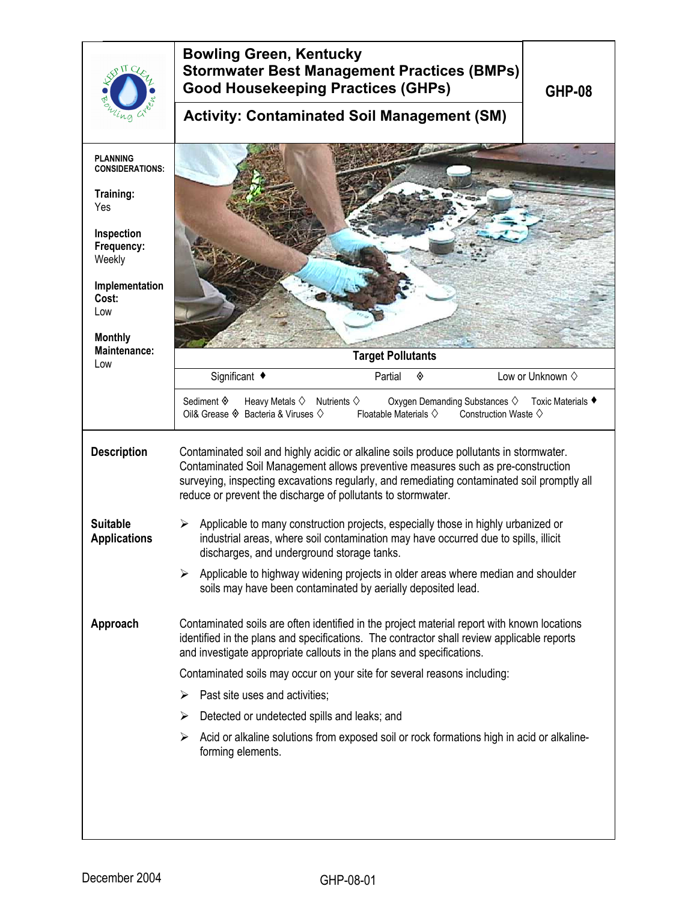| 0 II C                                    | <b>Bowling Green, Kentucky</b><br><b>Stormwater Best Management Practices (BMPs)</b><br><b>Good Housekeeping Practices (GHPs)</b><br><b>GHP-08</b>                                                                                                                                                                                         |  |  |  |
|-------------------------------------------|--------------------------------------------------------------------------------------------------------------------------------------------------------------------------------------------------------------------------------------------------------------------------------------------------------------------------------------------|--|--|--|
| ng                                        | <b>Activity: Contaminated Soil Management (SM)</b>                                                                                                                                                                                                                                                                                         |  |  |  |
| <b>PLANNING</b><br><b>CONSIDERATIONS:</b> |                                                                                                                                                                                                                                                                                                                                            |  |  |  |
| Training:<br>Yes                          |                                                                                                                                                                                                                                                                                                                                            |  |  |  |
| Inspection<br>Frequency:<br>Weekly        |                                                                                                                                                                                                                                                                                                                                            |  |  |  |
| Implementation<br>Cost:<br>Low            |                                                                                                                                                                                                                                                                                                                                            |  |  |  |
| <b>Monthly</b>                            |                                                                                                                                                                                                                                                                                                                                            |  |  |  |
| Maintenance:<br>Low                       | <b>Target Pollutants</b>                                                                                                                                                                                                                                                                                                                   |  |  |  |
|                                           | Significant ◆<br>Low or Unknown $\diamond$<br>Partial<br>◈                                                                                                                                                                                                                                                                                 |  |  |  |
|                                           | Sediment ♦<br>Heavy Metals $\diamondsuit$<br>Nutrients $\diamondsuit$<br>Oxygen Demanding Substances $\diamondsuit$<br>Toxic Materials ♦<br>Oil& Grease $\Diamond$ Bacteria & Viruses $\Diamond$<br>Floatable Materials $\diamondsuit$<br>Construction Waste $\diamondsuit$                                                                |  |  |  |
| <b>Description</b>                        | Contaminated soil and highly acidic or alkaline soils produce pollutants in stormwater.<br>Contaminated Soil Management allows preventive measures such as pre-construction<br>surveying, inspecting excavations regularly, and remediating contaminated soil promptly all<br>reduce or prevent the discharge of pollutants to stormwater. |  |  |  |
| <b>Suitable</b><br><b>Applications</b>    | Applicable to many construction projects, especially those in highly urbanized or<br>➤<br>industrial areas, where soil contamination may have occurred due to spills, illicit<br>discharges, and underground storage tanks.                                                                                                                |  |  |  |
|                                           | Applicable to highway widening projects in older areas where median and shoulder<br>➤<br>soils may have been contaminated by aerially deposited lead.                                                                                                                                                                                      |  |  |  |
| Approach                                  | Contaminated soils are often identified in the project material report with known locations<br>identified in the plans and specifications. The contractor shall review applicable reports<br>and investigate appropriate callouts in the plans and specifications.                                                                         |  |  |  |
|                                           | Contaminated soils may occur on your site for several reasons including:                                                                                                                                                                                                                                                                   |  |  |  |
|                                           | Past site uses and activities;<br>➤                                                                                                                                                                                                                                                                                                        |  |  |  |
|                                           | ≻<br>Detected or undetected spills and leaks; and                                                                                                                                                                                                                                                                                          |  |  |  |
|                                           | Acid or alkaline solutions from exposed soil or rock formations high in acid or alkaline-<br>➤<br>forming elements.                                                                                                                                                                                                                        |  |  |  |
|                                           |                                                                                                                                                                                                                                                                                                                                            |  |  |  |
|                                           |                                                                                                                                                                                                                                                                                                                                            |  |  |  |
|                                           |                                                                                                                                                                                                                                                                                                                                            |  |  |  |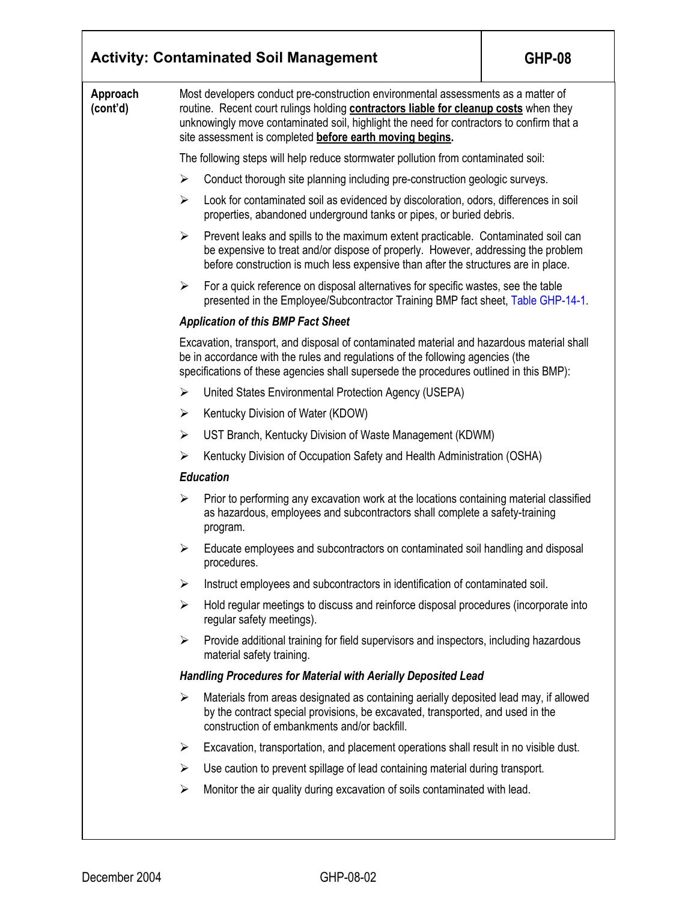| <b>Activity: Contaminated Soil Management</b> | <b>GHP-08</b>                                                                                                                                                                                                                                                                                                                            |                                                                                                                                                                                                                                                              |  |  |  |  |
|-----------------------------------------------|------------------------------------------------------------------------------------------------------------------------------------------------------------------------------------------------------------------------------------------------------------------------------------------------------------------------------------------|--------------------------------------------------------------------------------------------------------------------------------------------------------------------------------------------------------------------------------------------------------------|--|--|--|--|
| Approach<br>(cont'd)                          | Most developers conduct pre-construction environmental assessments as a matter of<br>routine. Recent court rulings holding <b>contractors liable for cleanup costs</b> when they<br>unknowingly move contaminated soil, highlight the need for contractors to confirm that a<br>site assessment is completed before earth moving begins. |                                                                                                                                                                                                                                                              |  |  |  |  |
|                                               |                                                                                                                                                                                                                                                                                                                                          | The following steps will help reduce stormwater pollution from contaminated soil:                                                                                                                                                                            |  |  |  |  |
|                                               | $\blacktriangleright$                                                                                                                                                                                                                                                                                                                    | Conduct thorough site planning including pre-construction geologic surveys.                                                                                                                                                                                  |  |  |  |  |
|                                               | $\blacktriangleright$                                                                                                                                                                                                                                                                                                                    | Look for contaminated soil as evidenced by discoloration, odors, differences in soil<br>properties, abandoned underground tanks or pipes, or buried debris.                                                                                                  |  |  |  |  |
|                                               | ≻                                                                                                                                                                                                                                                                                                                                        | Prevent leaks and spills to the maximum extent practicable. Contaminated soil can<br>be expensive to treat and/or dispose of properly. However, addressing the problem<br>before construction is much less expensive than after the structures are in place. |  |  |  |  |
|                                               | ➤                                                                                                                                                                                                                                                                                                                                        | For a quick reference on disposal alternatives for specific wastes, see the table<br>presented in the Employee/Subcontractor Training BMP fact sheet, Table GHP-14-1.                                                                                        |  |  |  |  |
|                                               | <b>Application of this BMP Fact Sheet</b>                                                                                                                                                                                                                                                                                                |                                                                                                                                                                                                                                                              |  |  |  |  |
|                                               | Excavation, transport, and disposal of contaminated material and hazardous material shall<br>be in accordance with the rules and regulations of the following agencies (the<br>specifications of these agencies shall supersede the procedures outlined in this BMP):                                                                    |                                                                                                                                                                                                                                                              |  |  |  |  |
|                                               | ≻                                                                                                                                                                                                                                                                                                                                        | United States Environmental Protection Agency (USEPA)                                                                                                                                                                                                        |  |  |  |  |
|                                               | ≻                                                                                                                                                                                                                                                                                                                                        |                                                                                                                                                                                                                                                              |  |  |  |  |
|                                               | ≻                                                                                                                                                                                                                                                                                                                                        | UST Branch, Kentucky Division of Waste Management (KDWM)                                                                                                                                                                                                     |  |  |  |  |
|                                               | ➤                                                                                                                                                                                                                                                                                                                                        | Kentucky Division of Occupation Safety and Health Administration (OSHA)                                                                                                                                                                                      |  |  |  |  |
|                                               | <b>Education</b>                                                                                                                                                                                                                                                                                                                         |                                                                                                                                                                                                                                                              |  |  |  |  |
|                                               | ➤                                                                                                                                                                                                                                                                                                                                        | Prior to performing any excavation work at the locations containing material classified<br>as hazardous, employees and subcontractors shall complete a safety-training<br>program.                                                                           |  |  |  |  |
|                                               |                                                                                                                                                                                                                                                                                                                                          | Educate employees and subcontractors on contaminated soil handling and disposal<br>procedures.                                                                                                                                                               |  |  |  |  |
|                                               | $\blacktriangleright$                                                                                                                                                                                                                                                                                                                    | Instruct employees and subcontractors in identification of contaminated soil.                                                                                                                                                                                |  |  |  |  |
|                                               | ➤                                                                                                                                                                                                                                                                                                                                        | Hold regular meetings to discuss and reinforce disposal procedures (incorporate into<br>regular safety meetings).                                                                                                                                            |  |  |  |  |
|                                               | ➤                                                                                                                                                                                                                                                                                                                                        | Provide additional training for field supervisors and inspectors, including hazardous<br>material safety training.                                                                                                                                           |  |  |  |  |
|                                               | <b>Handling Procedures for Material with Aerially Deposited Lead</b>                                                                                                                                                                                                                                                                     |                                                                                                                                                                                                                                                              |  |  |  |  |
|                                               | ≻                                                                                                                                                                                                                                                                                                                                        | Materials from areas designated as containing aerially deposited lead may, if allowed<br>by the contract special provisions, be excavated, transported, and used in the<br>construction of embankments and/or backfill.                                      |  |  |  |  |
|                                               | $\blacktriangleright$                                                                                                                                                                                                                                                                                                                    | Excavation, transportation, and placement operations shall result in no visible dust.                                                                                                                                                                        |  |  |  |  |
|                                               | ➤                                                                                                                                                                                                                                                                                                                                        | Use caution to prevent spillage of lead containing material during transport.                                                                                                                                                                                |  |  |  |  |
|                                               | $\blacktriangleright$                                                                                                                                                                                                                                                                                                                    | Monitor the air quality during excavation of soils contaminated with lead.                                                                                                                                                                                   |  |  |  |  |

┱

 $\overline{\phantom{a}}$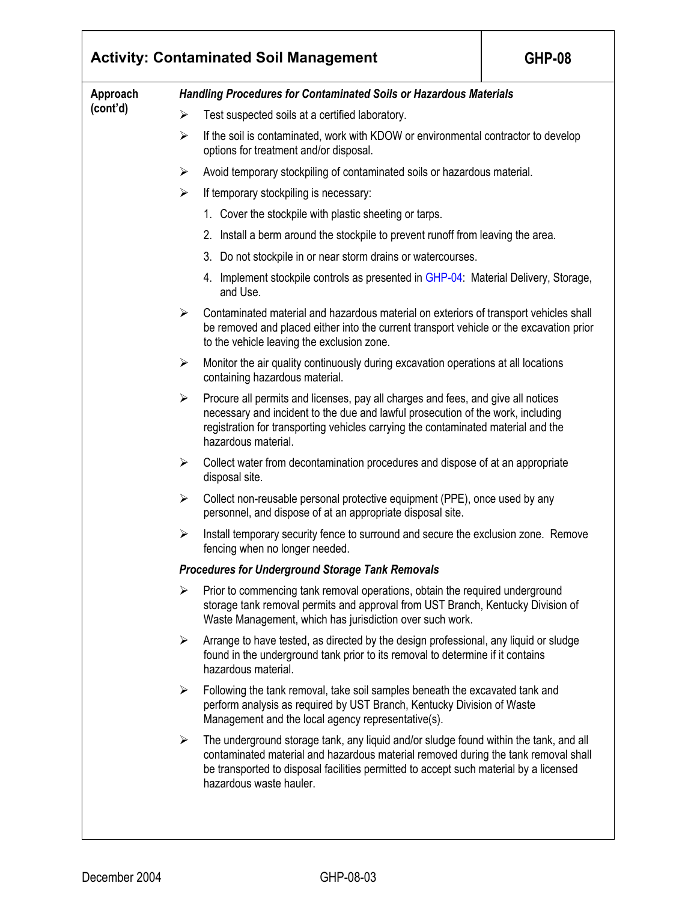| Approach<br>(cont'd) | <b>Handling Procedures for Contaminated Soils or Hazardous Materials</b>                                                                                                                                                                                                                             |  |  |  |  |  |
|----------------------|------------------------------------------------------------------------------------------------------------------------------------------------------------------------------------------------------------------------------------------------------------------------------------------------------|--|--|--|--|--|
|                      | Test suspected soils at a certified laboratory.<br>➤                                                                                                                                                                                                                                                 |  |  |  |  |  |
|                      | If the soil is contaminated, work with KDOW or environmental contractor to develop<br>$\blacktriangleright$<br>options for treatment and/or disposal.                                                                                                                                                |  |  |  |  |  |
|                      | Avoid temporary stockpiling of contaminated soils or hazardous material.<br>➤                                                                                                                                                                                                                        |  |  |  |  |  |
|                      | If temporary stockpiling is necessary:<br>$\blacktriangleright$                                                                                                                                                                                                                                      |  |  |  |  |  |
|                      | 1. Cover the stockpile with plastic sheeting or tarps.                                                                                                                                                                                                                                               |  |  |  |  |  |
|                      | 2. Install a berm around the stockpile to prevent runoff from leaving the area.                                                                                                                                                                                                                      |  |  |  |  |  |
|                      | Do not stockpile in or near storm drains or watercourses.<br>3.                                                                                                                                                                                                                                      |  |  |  |  |  |
|                      | 4. Implement stockpile controls as presented in GHP-04. Material Delivery, Storage,<br>and Use.                                                                                                                                                                                                      |  |  |  |  |  |
|                      | $\blacktriangleright$<br>Contaminated material and hazardous material on exteriors of transport vehicles shall<br>be removed and placed either into the current transport vehicle or the excavation prior<br>to the vehicle leaving the exclusion zone.                                              |  |  |  |  |  |
|                      | Monitor the air quality continuously during excavation operations at all locations<br>$\blacktriangleright$<br>containing hazardous material.                                                                                                                                                        |  |  |  |  |  |
|                      | Procure all permits and licenses, pay all charges and fees, and give all notices<br>➤<br>necessary and incident to the due and lawful prosecution of the work, including<br>registration for transporting vehicles carrying the contaminated material and the<br>hazardous material.                 |  |  |  |  |  |
|                      | $\blacktriangleright$<br>Collect water from decontamination procedures and dispose of at an appropriate<br>disposal site.                                                                                                                                                                            |  |  |  |  |  |
|                      | Collect non-reusable personal protective equipment (PPE), once used by any<br>$\blacktriangleright$<br>personnel, and dispose of at an appropriate disposal site.                                                                                                                                    |  |  |  |  |  |
|                      | Install temporary security fence to surround and secure the exclusion zone. Remove<br>➤<br>fencing when no longer needed.                                                                                                                                                                            |  |  |  |  |  |
|                      | <b>Procedures for Underground Storage Tank Removals</b>                                                                                                                                                                                                                                              |  |  |  |  |  |
|                      | Prior to commencing tank removal operations, obtain the required underground<br>➤<br>storage tank removal permits and approval from UST Branch, Kentucky Division of<br>Waste Management, which has jurisdiction over such work.                                                                     |  |  |  |  |  |
|                      | Arrange to have tested, as directed by the design professional, any liquid or sludge<br>➤<br>found in the underground tank prior to its removal to determine if it contains<br>hazardous material.                                                                                                   |  |  |  |  |  |
|                      | Following the tank removal, take soil samples beneath the excavated tank and<br>➤<br>perform analysis as required by UST Branch, Kentucky Division of Waste<br>Management and the local agency representative(s).                                                                                    |  |  |  |  |  |
|                      | The underground storage tank, any liquid and/or sludge found within the tank, and all<br>➤<br>contaminated material and hazardous material removed during the tank removal shall<br>be transported to disposal facilities permitted to accept such material by a licensed<br>hazardous waste hauler. |  |  |  |  |  |